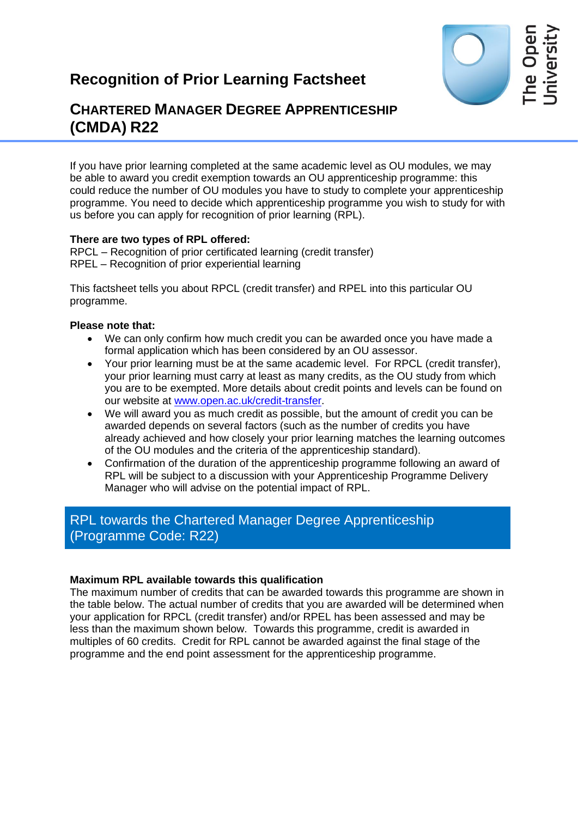# **Recognition of Prior Learning Factsheet**



## **CHARTERED MANAGER DEGREE APPRENTICESHIP (CMDA) R22**

If you have prior learning completed at the same academic level as OU modules, we may be able to award you credit exemption towards an OU apprenticeship programme: this could reduce the number of OU modules you have to study to complete your apprenticeship programme. You need to decide which apprenticeship programme you wish to study for with us before you can apply for recognition of prior learning (RPL).

#### **There are two types of RPL offered:**

RPCL – Recognition of prior certificated learning (credit transfer) RPEL – Recognition of prior experiential learning

This factsheet tells you about RPCL (credit transfer) and RPEL into this particular OU programme.

#### **Please note that:**

- We can only confirm how much credit you can be awarded once you have made a formal application which has been considered by an OU assessor.
- Your prior learning must be at the same academic level. For RPCL (credit transfer), your prior learning must carry at least as many credits, as the OU study from which you are to be exempted. More details about credit points and levels can be found on our website at [www.open.ac.uk/credit-transfer.](http://www.open.ac.uk/credit-transfer)
- We will award you as much credit as possible, but the amount of credit you can be awarded depends on several factors (such as the number of credits you have already achieved and how closely your prior learning matches the learning outcomes of the OU modules and the criteria of the apprenticeship standard).
- Confirmation of the duration of the apprenticeship programme following an award of RPL will be subject to a discussion with your Apprenticeship Programme Delivery Manager who will advise on the potential impact of RPL.

## RPL towards the Chartered Manager Degree Apprenticeship (Programme Code: R22)

#### **Maximum RPL available towards this qualification**

The maximum number of credits that can be awarded towards this programme are shown in the table below. The actual number of credits that you are awarded will be determined when your application for RPCL (credit transfer) and/or RPEL has been assessed and may be less than the maximum shown below. Towards this programme, credit is awarded in multiples of 60 credits. Credit for RPL cannot be awarded against the final stage of the programme and the end point assessment for the apprenticeship programme.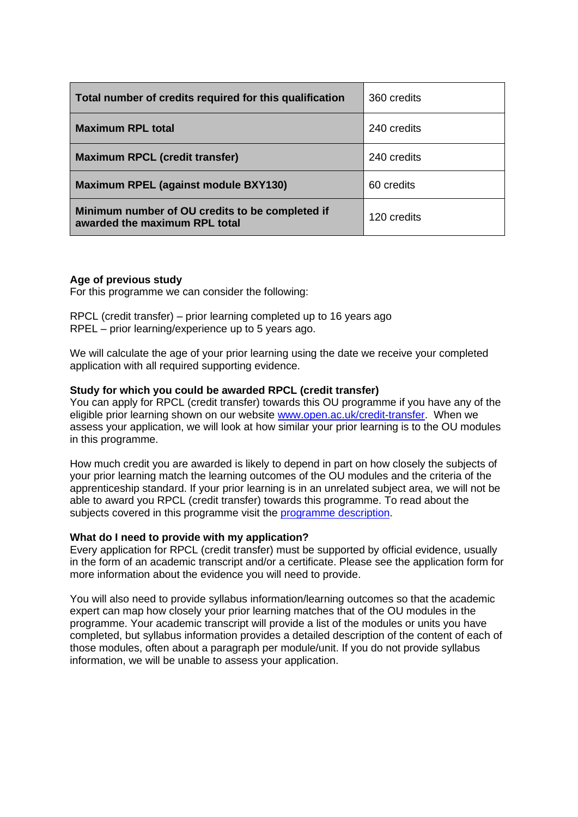| Total number of credits required for this qualification                          | 360 credits |
|----------------------------------------------------------------------------------|-------------|
| <b>Maximum RPL total</b>                                                         | 240 credits |
| <b>Maximum RPCL (credit transfer)</b>                                            | 240 credits |
| <b>Maximum RPEL (against module BXY130)</b>                                      | 60 credits  |
| Minimum number of OU credits to be completed if<br>awarded the maximum RPL total | 120 credits |

#### **Age of previous study**

For this programme we can consider the following:

RPCL (credit transfer) – prior learning completed up to 16 years ago RPEL – prior learning/experience up to 5 years ago.

We will calculate the age of your prior learning using the date we receive your completed application with all required supporting evidence.

#### **Study for which you could be awarded RPCL (credit transfer)**

You can apply for RPCL (credit transfer) towards this OU programme if you have any of the eligible prior learning shown on our website [www.open.ac.uk/credit-transfer.](http://www.open.ac.uk/credit-transfer) When we assess your application, we will look at how similar your prior learning is to the OU modules in this programme.

How much credit you are awarded is likely to depend in part on how closely the subjects of your prior learning match the learning outcomes of the OU modules and the criteria of the apprenticeship standard. If your prior learning is in an unrelated subject area, we will not be able to award you RPCL (credit transfer) towards this programme. To read about the subjects covered in this programme visit the [programme description.](http://info1.open.ac.uk/CMDA-resources)

#### **What do I need to provide with my application?**

Every application for RPCL (credit transfer) must be supported by official evidence, usually in the form of an academic transcript and/or a certificate. Please see the application form for more information about the evidence you will need to provide.

You will also need to provide syllabus information/learning outcomes so that the academic expert can map how closely your prior learning matches that of the OU modules in the programme. Your academic transcript will provide a list of the modules or units you have completed, but syllabus information provides a detailed description of the content of each of those modules, often about a paragraph per module/unit. If you do not provide syllabus information, we will be unable to assess your application.